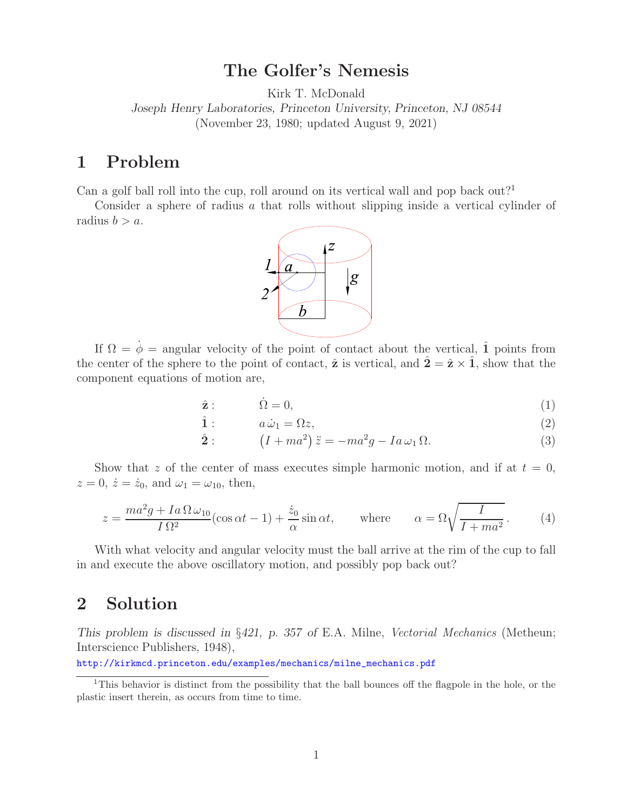## **The Golfer's Nemesis**

Kirk T. McDonald

*Joseph Henry Laboratories, Princeton University, Princeton, NJ 08544* (November 23, 1980; updated August 9, 2021)

## **1 Problem**

Can a golf ball roll into the cup, roll around on its vertical wall and pop back out?<sup>1</sup>

Consider a sphere of radius a that rolls without slipping inside a vertical cylinder of radius  $b>a$ .



If  $\Omega = \dot{\phi}$  = angular velocity of the point of contact about the vertical,  $\hat{1}$  points from the center of the sphere to the point of contact,  $\hat{\mathbf{z}}$  is vertical, and  $\hat{\mathbf{2}} = \hat{\mathbf{z}} \times \hat{\mathbf{1}}$ , show that the component equations of motion are,

$$
\hat{\mathbf{z}}: \qquad \dot{\Omega} = 0,\tag{1}
$$

$$
\hat{\mathbf{1}}:\qquad a\,\dot{\omega}_1 = \Omega z,\tag{2}
$$

$$
\hat{2}: \qquad (I + ma^2) \ddot{z} = -ma^2g - Ia\,\omega_1\,\Omega. \tag{3}
$$

Show that z of the center of mass executes simple harmonic motion, and if at  $t = 0$ ,  $z = 0, \, \dot{z} = \dot{z}_0, \text{ and } \omega_1 = \omega_{10}, \text{ then,}$ 

$$
z = \frac{ma^2g + Ia\,\Omega\,\omega_{10}}{I\,\Omega^2}(\cos\alpha t - 1) + \frac{\dot{z}_0}{\alpha}\sin\alpha t, \qquad \text{where} \qquad \alpha = \Omega\sqrt{\frac{I}{I + ma^2}}. \tag{4}
$$

With what velocity and angular velocity must the ball arrive at the rim of the cup to fall in and execute the above oscillatory motion, and possibly pop back out?

## **2 Solution**

*This problem is discussed in* §*421, p. 357 of* E.A. Milne, *Vectorial Mechanics* (Metheun; Interscience Publishers, 1948),

http://kirkmcd.princeton.edu/examples/mechanics/milne\_mechanics.pdf

<sup>&</sup>lt;sup>1</sup>This behavior is distinct from the possibility that the ball bounces off the flagpole in the hole, or the plastic insert therein, as occurs from time to time.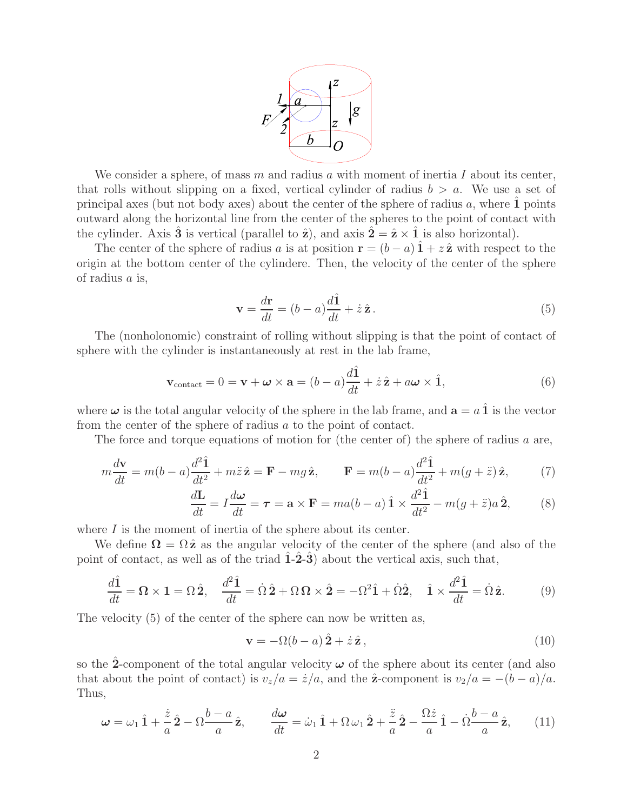

We consider a sphere, of mass  $m$  and radius a with moment of inertia I about its center, that rolls without slipping on a fixed, vertical cylinder of radius  $b > a$ . We use a set of principal axes (but not body axes) about the center of the sphere of radius  $a$ , where  $\hat{1}$  points outward along the horizontal line from the center of the spheres to the point of contact with the cylinder. Axis **3** is vertical (parallel to  $\hat{\mathbf{z}}$ ), and axis  $\hat{\mathbf{z}} = \hat{\mathbf{z}} \times \hat{\mathbf{1}}$  is also horizontal).

The center of the sphere of radius a is at position  $\mathbf{r} = (b - a)\hat{\mathbf{1}} + z\hat{\mathbf{z}}$  with respect to the origin at the bottom center of the cylindere. Then, the velocity of the center of the sphere of radius a is,

$$
\mathbf{v} = \frac{d\mathbf{r}}{dt} = (b - a)\frac{d\hat{\mathbf{l}}}{dt} + \dot{z}\,\hat{\mathbf{z}}\,. \tag{5}
$$

The (nonholonomic) constraint of rolling without slipping is that the point of contact of sphere with the cylinder is instantaneously at rest in the lab frame,

$$
\mathbf{v}_{\text{contact}} = 0 = \mathbf{v} + \boldsymbol{\omega} \times \mathbf{a} = (b - a)\frac{d\hat{\mathbf{1}}}{dt} + \dot{z}\hat{\mathbf{z}} + a\boldsymbol{\omega} \times \hat{\mathbf{1}},
$$
(6)

where  $\omega$  is the total angular velocity of the sphere in the lab frame, and  $\mathbf{a} = a \mathbf{1}$  is the vector from the center of the sphere of radius a to the point of contact.

The force and torque equations of motion for (the center of) the sphere of radius  $a$  are,

$$
m\frac{d\mathbf{v}}{dt} = m(b-a)\frac{d^2\hat{\mathbf{1}}}{dt^2} + m\ddot{z}\hat{\mathbf{z}} = \mathbf{F} - mg\hat{\mathbf{z}}, \qquad \mathbf{F} = m(b-a)\frac{d^2\hat{\mathbf{1}}}{dt^2} + m(g+\ddot{z})\hat{\mathbf{z}}, \tag{7}
$$

$$
\frac{d\mathbf{L}}{dt} = I\frac{d\boldsymbol{\omega}}{dt} = \boldsymbol{\tau} = \mathbf{a} \times \mathbf{F} = ma(b-a)\hat{\mathbf{1}} \times \frac{d^2\hat{\mathbf{1}}}{dt^2} - m(g+\ddot{z})a\hat{\mathbf{2}},\tag{8}
$$

where  $I$  is the moment of inertia of the sphere about its center.

We define  $\Omega = \Omega \hat{z}$  as the angular velocity of the center of the sphere (and also of the point of contact, as well as of the triad **1**ˆ-**2**ˆ-**3**ˆ) about the vertical axis, such that,

$$
\frac{d\hat{\mathbf{1}}}{dt} = \mathbf{\Omega} \times \mathbf{1} = \Omega \hat{\mathbf{2}}, \quad \frac{d^2 \hat{\mathbf{1}}}{dt} = \dot{\Omega} \hat{\mathbf{2}} + \Omega \mathbf{\Omega} \times \hat{\mathbf{2}} = -\Omega^2 \hat{\mathbf{1}} + \dot{\Omega} \hat{\mathbf{2}}, \quad \hat{\mathbf{1}} \times \frac{d^2 \hat{\mathbf{1}}}{dt} = \dot{\Omega} \hat{\mathbf{z}}.
$$
 (9)

The velocity (5) of the center of the sphere can now be written as,

$$
\mathbf{v} = -\Omega(b - a)\,\hat{\mathbf{2}} + \dot{z}\,\hat{\mathbf{z}}\,,\tag{10}
$$

so the  $\hat{2}$ -component of the total angular velocity  $\omega$  of the sphere about its center (and also that about the point of contact) is  $v_z/a = \dot{z}/a$ , and the  $\hat{z}$ -component is  $v_2/a = -(b-a)/a$ . Thus,

$$
\omega = \omega_1 \hat{\mathbf{1}} + \frac{\dot{z}}{a} \hat{\mathbf{2}} - \Omega \frac{b-a}{a} \hat{\mathbf{z}}, \qquad \frac{d\omega}{dt} = \dot{\omega}_1 \hat{\mathbf{1}} + \Omega \omega_1 \hat{\mathbf{2}} + \frac{\ddot{z}}{a} \hat{\mathbf{2}} - \frac{\Omega \dot{z}}{a} \hat{\mathbf{1}} - \dot{\Omega} \frac{b-a}{a} \hat{\mathbf{z}}, \tag{11}
$$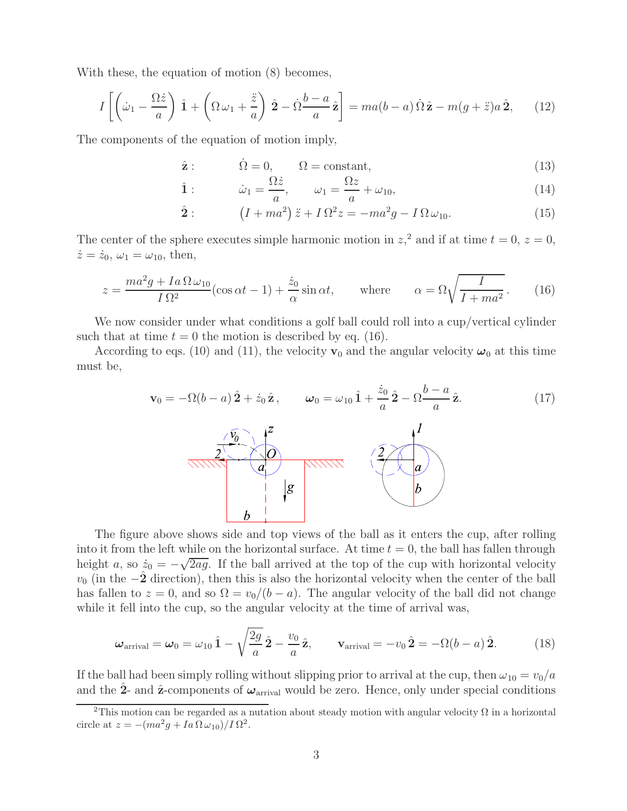With these, the equation of motion (8) becomes,

$$
I\left[\left(\dot{\omega}_1 - \frac{\Omega \dot{z}}{a}\right) \hat{1} + \left(\Omega \omega_1 + \frac{\ddot{z}}{a}\right) \hat{2} - \dot{\Omega} \frac{b-a}{a} \hat{z}\right] = ma(b-a) \dot{\Omega} \hat{z} - m(g+\ddot{z})a \hat{2},\qquad(12)
$$

The components of the equation of motion imply,

$$
\hat{\mathbf{z}}: \qquad \dot{\Omega} = 0, \qquad \Omega = \text{constant}, \tag{13}
$$

$$
\hat{\mathbf{1}}: \qquad \qquad \dot{\omega}_1 = \frac{\Omega \dot{z}}{a}, \qquad \omega_1 = \frac{\Omega z}{a} + \omega_{10}, \tag{14}
$$

$$
\hat{\mathbf{2}}: \qquad \left(I + ma^2\right)\ddot{z} + I\,\Omega^2 z = -ma^2g - I\,\Omega\,\omega_{10}.\tag{15}
$$

The center of the sphere executes simple harmonic motion in  $z$ ,<sup>2</sup> and if at time  $t = 0$ ,  $z = 0$ ,  $\dot{z} = \dot{z}_0, \omega_1 = \omega_{10}$ , then,

$$
z = \frac{ma^2g + Ia\,\Omega\,\omega_{10}}{I\,\Omega^2}(\cos\alpha t - 1) + \frac{\dot{z}_0}{\alpha}\sin\alpha t, \qquad \text{where} \qquad \alpha = \Omega\sqrt{\frac{I}{I + ma^2}}. \tag{16}
$$

We now consider under what conditions a golf ball could roll into a cup/vertical cylinder such that at time  $t = 0$  the motion is described by eq. (16).

According to eqs. (10) and (11), the velocity  $\mathbf{v}_0$  and the angular velocity  $\omega_0$  at this time must be,

$$
\mathbf{v}_0 = -\Omega(b-a)\,\hat{\mathbf{2}} + \dot{z}_0\,\hat{\mathbf{z}}, \qquad \boldsymbol{\omega}_0 = \omega_{10}\,\hat{\mathbf{1}} + \frac{\dot{z}_0}{a}\,\hat{\mathbf{2}} - \Omega\frac{b-a}{a}\,\hat{\mathbf{z}}.
$$
 (17)  

$$
\overbrace{\mathbf{11111}}^{\mathbf{10}} \begin{pmatrix} \overbrace{\mathbf{2}}^{\mathbf{1}} & \overbrace{\mathbf{1}}^{\mathbf{2}} & \overbrace{\mathbf{1}}^{\mathbf{3}} & \overbrace{\mathbf{1}}^{\mathbf{4}} & \overbrace{\mathbf{1}}^{\mathbf{5}} & \overbrace{\mathbf{1}}^{\mathbf{6}} & \overbrace{\mathbf{1}}^{\mathbf{7}} & \overbrace{\mathbf{1}}^{\mathbf{8}} & \overbrace{\mathbf{1}}^{\mathbf{9}} & \overbrace{\mathbf{1}}^{\mathbf{1}} & \overbrace{\mathbf{1}}^{\mathbf{1}} & \overbrace{\mathbf{1}}^{\mathbf{1}} & \overbrace{\mathbf{1}}^{\mathbf{1}} & \overbrace{\mathbf{1}}^{\mathbf{1}} & \overbrace{\mathbf{1}}^{\mathbf{1}} & \overbrace{\mathbf{1}}^{\mathbf{1}} & \overbrace{\mathbf{1}}^{\mathbf{2}} & \overbrace{\mathbf{1}}^{\mathbf{1}} & \overbrace{\mathbf{1}}^{\mathbf{1}} & \overbrace{\mathbf{1}}^{\mathbf{2}} & \overbrace{\mathbf{1}}^{\mathbf{3}} & \overbrace{\mathbf{1}}^{\mathbf{5}} & \overbrace{\mathbf{1}}^{\mathbf{6}} & \overbrace{\mathbf{1}}^{\mathbf{5}} & \overbrace{\mathbf{1}}^{\mathbf{6}} & \overbrace{\mathbf{1}}^{\mathbf{5}} & \overbrace{\mathbf{1}}^{\mathbf{6}} & \overbrace{\mathbf{1}}^{\mathbf{7}} & \overbrace{\mathbf{1}}^{\mathbf{8}} & \overbrace{\mathbf{1}}^{\mathbf{1}} & \overbrace{\mathbf{1}}^{\mathbf{1}} & \overbrace{\mathbf{1}}^{\mathbf{2}} & \overbrace{\mathbf{1}}^{\mathbf{1}} & \overbrace{\mathbf{1}}^{\mathbf{1}} & \overbrace{\mathbf{1}}^{\mathbf{2}} & \overbrace{\mathbf{1}}^{\mathbf{3}} & \overbrace{\mathbf
$$

The figure above shows side and top views of the ball as it enters the cup, after rolling into it from the left while on the horizontal surface. At time  $t = 0$ , the ball has fallen through height a, so  $\dot{z}_0 = -\sqrt{2ag}$ . If the ball arrived at the top of the cup with horizontal velocity  $v_0$  (in the  $-\hat{2}$  direction), then this is also the horizontal velocity when the center of the ball has fallen to  $z = 0$ , and so  $\Omega = v_0/(b - a)$ . The angular velocity of the ball did not change while it fell into the cup, so the angular velocity at the time of arrival was,

$$
\boldsymbol{\omega}_{\text{arrival}} = \boldsymbol{\omega}_0 = \omega_{10} \,\hat{\mathbf{1}} - \sqrt{\frac{2g}{a}} \,\hat{\mathbf{2}} - \frac{v_0}{a} \,\hat{\mathbf{z}}, \qquad \mathbf{v}_{\text{arrival}} = -v_0 \,\hat{\mathbf{2}} = -\Omega(b-a) \,\hat{\mathbf{2}}.
$$
 (18)

If the ball had been simply rolling without slipping prior to arrival at the cup, then  $\omega_{10} = v_0/a$ and the  $\hat{2}$ - and  $\hat{z}$ -components of  $\omega$ <sub>arrival</sub> would be zero. Hence, only under special conditions

<sup>&</sup>lt;sup>2</sup>This motion can be regarded as a nutation about steady motion with angular velocity  $\Omega$  in a horizontal circle at  $z = -(ma^2g + Ia \Omega \omega_{10})/I \Omega^2$ .